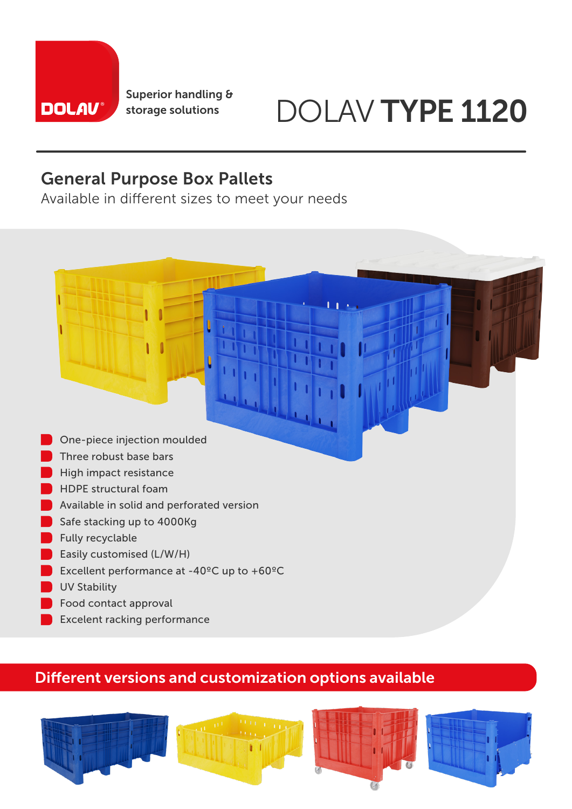

Superior handling &

# storage solutions DOLAV TYPE 1120

### General Purpose Box Pallets

Available in different sizes to meet your needs



- Three robust base bars
- High impact resistance
- **HDPE** structural foam
- **Available in solid and perforated version**
- Safe stacking up to 4000Kg
- **Fully recyclable**
- **Easily customised (L/W/H)**
- Excellent performance at  $-40^{\circ}$ C up to  $+60^{\circ}$ C
- **UV Stability**
- **Food contact approval**
- Excelent racking performance

#### Different versions and customization options available